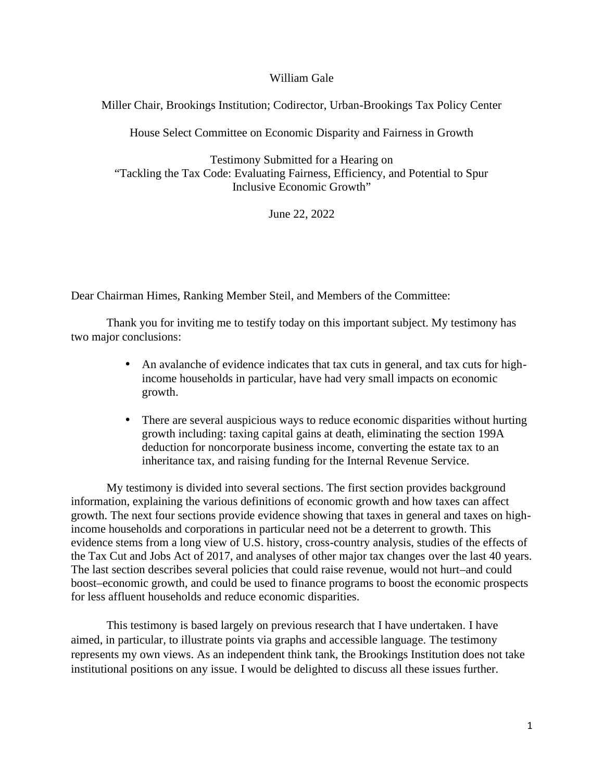William Gale

Miller Chair, Brookings Institution; Codirector, Urban-Brookings Tax Policy Center

House Select Committee on Economic Disparity and Fairness in Growth

Testimony Submitted for a Hearing on "Tackling the Tax Code: Evaluating Fairness, Efficiency, and Potential to Spur Inclusive Economic Growth"

June 22, 2022

Dear Chairman Himes, Ranking Member Steil, and Members of the Committee:

Thank you for inviting me to testify today on this important subject. My testimony has two major conclusions:

- An avalanche of evidence indicates that tax cuts in general, and tax cuts for highincome households in particular, have had very small impacts on economic growth.
- There are several auspicious ways to reduce economic disparities without hurting growth including: taxing capital gains at death, eliminating the section 199A deduction for noncorporate business income, converting the estate tax to an inheritance tax, and raising funding for the Internal Revenue Service.

My testimony is divided into several sections. The first section provides background information, explaining the various definitions of economic growth and how taxes can affect growth. The next four sections provide evidence showing that taxes in general and taxes on highincome households and corporations in particular need not be a deterrent to growth. This evidence stems from a long view of U.S. history, cross-country analysis, studies of the effects of the Tax Cut and Jobs Act of 2017, and analyses of other major tax changes over the last 40 years. The last section describes several policies that could raise revenue, would not hurt–and could boost–economic growth, and could be used to finance programs to boost the economic prospects for less affluent households and reduce economic disparities.

This testimony is based largely on previous research that I have undertaken. I have aimed, in particular, to illustrate points via graphs and accessible language. The testimony represents my own views. As an independent think tank, the Brookings Institution does not take institutional positions on any issue. I would be delighted to discuss all these issues further.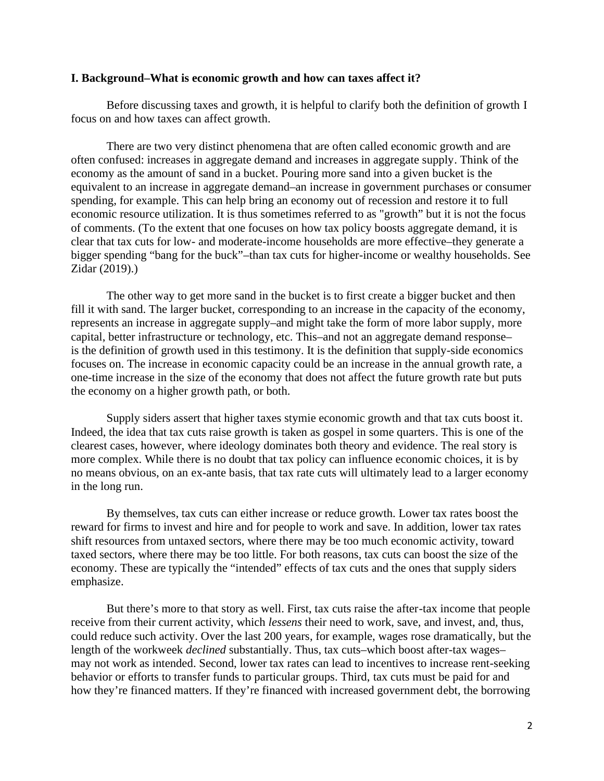### **I. Background–What is economic growth and how can taxes affect it?**

Before discussing taxes and growth, it is helpful to clarify both the definition of growth I focus on and how taxes can affect growth.

There are two very distinct phenomena that are often called economic growth and are often confused: increases in aggregate demand and increases in aggregate supply. Think of the economy as the amount of sand in a bucket. Pouring more sand into a given bucket is the equivalent to an increase in aggregate demand–an increase in government purchases or consumer spending, for example. This can help bring an economy out of recession and restore it to full economic resource utilization. It is thus sometimes referred to as "growth" but it is not the focus of comments. (To the extent that one focuses on how tax policy boosts aggregate demand, it is clear that tax cuts for low- and moderate-income households are more effective–they generate a bigger spending "bang for the buck"–than tax cuts for higher-income or wealthy households. See Zidar (2019).)

The other way to get more sand in the bucket is to first create a bigger bucket and then fill it with sand. The larger bucket, corresponding to an increase in the capacity of the economy, represents an increase in aggregate supply–and might take the form of more labor supply, more capital, better infrastructure or technology, etc. This–and not an aggregate demand response– is the definition of growth used in this testimony. It is the definition that supply-side economics focuses on. The increase in economic capacity could be an increase in the annual growth rate, a one-time increase in the size of the economy that does not affect the future growth rate but puts the economy on a higher growth path, or both.

Supply siders assert that higher taxes stymie economic growth and that tax cuts boost it. Indeed, the idea that tax cuts raise growth is taken as gospel in some quarters. This is one of the clearest cases, however, where ideology dominates both theory and evidence. The real story is more complex. While there is no doubt that tax policy can influence economic choices, it is by no means obvious, on an ex-ante basis, that tax rate cuts will ultimately lead to a larger economy in the long run.

By themselves, tax cuts can either increase or reduce growth. Lower tax rates boost the reward for firms to invest and hire and for people to work and save. In addition, lower tax rates shift resources from untaxed sectors, where there may be too much economic activity, toward taxed sectors, where there may be too little. For both reasons, tax cuts can boost the size of the economy. These are typically the "intended" effects of tax cuts and the ones that supply siders emphasize.

But there's more to that story as well. First, tax cuts raise the after-tax income that people receive from their current activity, which *lessens* their need to work, save, and invest, and, thus, could reduce such activity. Over the last 200 years, for example, wages rose dramatically, but the length of the workweek *declined* substantially. Thus, tax cuts–which boost after-tax wages– may not work as intended. Second, lower tax rates can lead to incentives to increase rent-seeking behavior or efforts to transfer funds to particular groups. Third, tax cuts must be paid for and how they're financed matters. If they're financed with increased government debt, the borrowing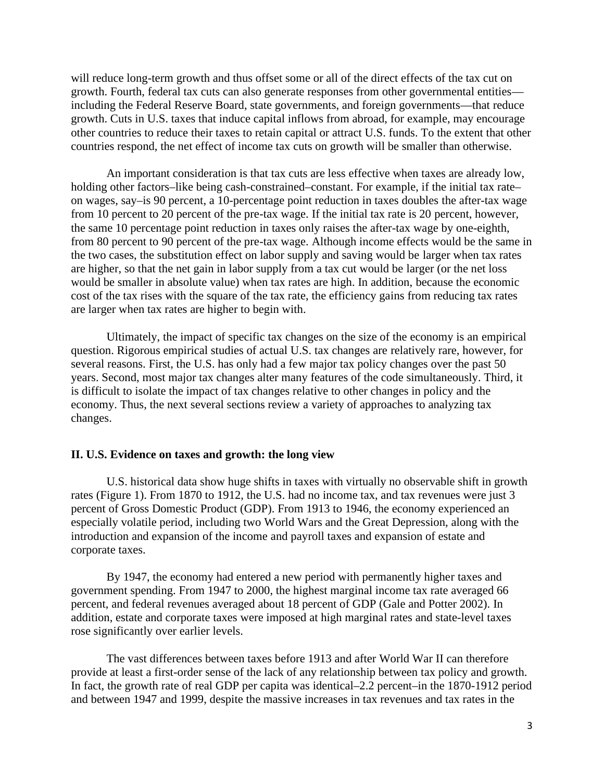will reduce long-term growth and thus offset some or all of the direct effects of the tax cut on growth. Fourth, federal tax cuts can also generate responses from other governmental entities including the Federal Reserve Board, state governments, and foreign governments—that reduce growth. Cuts in U.S. taxes that induce capital inflows from abroad, for example, may encourage other countries to reduce their taxes to retain capital or attract U.S. funds. To the extent that other countries respond, the net effect of income tax cuts on growth will be smaller than otherwise.

An important consideration is that tax cuts are less effective when taxes are already low, holding other factors–like being cash-constrained–constant. For example, if the initial tax rate– on wages, say–is 90 percent, a 10-percentage point reduction in taxes doubles the after-tax wage from 10 percent to 20 percent of the pre-tax wage. If the initial tax rate is 20 percent, however, the same 10 percentage point reduction in taxes only raises the after-tax wage by one-eighth, from 80 percent to 90 percent of the pre-tax wage. Although income effects would be the same in the two cases, the substitution effect on labor supply and saving would be larger when tax rates are higher, so that the net gain in labor supply from a tax cut would be larger (or the net loss would be smaller in absolute value) when tax rates are high. In addition, because the economic cost of the tax rises with the square of the tax rate, the efficiency gains from reducing tax rates are larger when tax rates are higher to begin with.

Ultimately, the impact of specific tax changes on the size of the economy is an empirical question. Rigorous empirical studies of actual U.S. tax changes are relatively rare, however, for several reasons. First, the U.S. has only had a few major tax policy changes over the past 50 years. Second, most major tax changes alter many features of the code simultaneously. Third, it is difficult to isolate the impact of tax changes relative to other changes in policy and the economy. Thus, the next several sections review a variety of approaches to analyzing tax changes.

### **II. U.S. Evidence on taxes and growth: the long view**

U.S. historical data show huge shifts in taxes with virtually no observable shift in growth rates (Figure 1). From 1870 to 1912, the U.S. had no income tax, and tax revenues were just 3 percent of Gross Domestic Product (GDP). From 1913 to 1946, the economy experienced an especially volatile period, including two World Wars and the Great Depression, along with the introduction and expansion of the income and payroll taxes and expansion of estate and corporate taxes.

By 1947, the economy had entered a new period with permanently higher taxes and government spending. From 1947 to 2000, the highest marginal income tax rate averaged 66 percent, and federal revenues averaged about 18 percent of GDP (Gale and Potter 2002). In addition, estate and corporate taxes were imposed at high marginal rates and state-level taxes rose significantly over earlier levels.

The vast differences between taxes before 1913 and after World War II can therefore provide at least a first-order sense of the lack of any relationship between tax policy and growth. In fact, the growth rate of real GDP per capita was identical–2.2 percent–in the 1870-1912 period and between 1947 and 1999, despite the massive increases in tax revenues and tax rates in the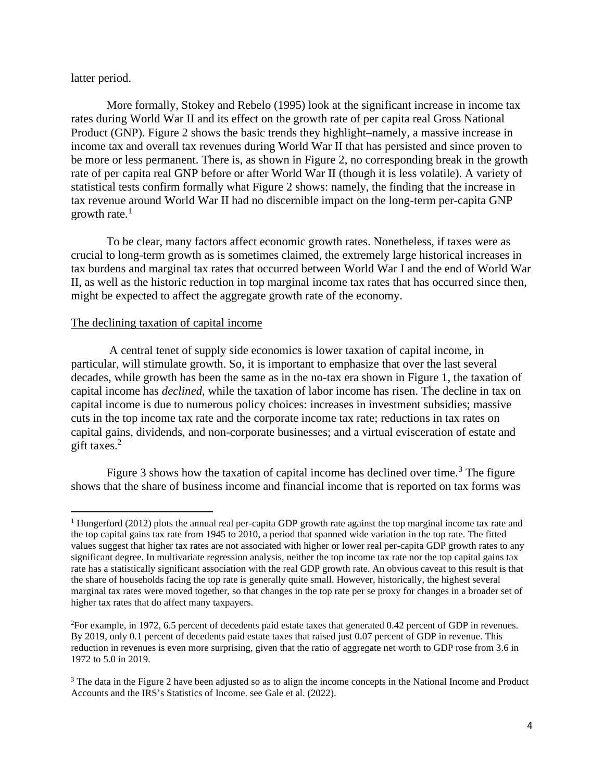### latter period.

More formally, Stokey and Rebelo (1995) look at the significant increase in income tax rates during World War II and its effect on the growth rate of per capita real Gross National Product (GNP). Figure 2 shows the basic trends they highlight–namely, a massive increase in income tax and overall tax revenues during World War II that has persisted and since proven to be more or less permanent. There is, as shown in Figure 2, no corresponding break in the growth rate of per capita real GNP before or after World War II (though it is less volatile). A variety of statistical tests confirm formally what Figure 2 shows: namely, the finding that the increase in tax revenue around World War II had no discernible impact on the long-term per-capita GNP growth rate. $<sup>1</sup>$ </sup>

To be clear, many factors affect economic growth rates. Nonetheless, if taxes were as crucial to long-term growth as is sometimes claimed, the extremely large historical increases in tax burdens and marginal tax rates that occurred between World War I and the end of World War II, as well as the historic reduction in top marginal income tax rates that has occurred since then, might be expected to affect the aggregate growth rate of the economy.

### The declining taxation of capital income

A central tenet of supply side economics is lower taxation of capital income, in particular, will stimulate growth. So, it is important to emphasize that over the last several decades, while growth has been the same as in the no-tax era shown in Figure 1, the taxation of capital income has *declined*, while the taxation of labor income has risen. The decline in tax on capital income is due to numerous policy choices: increases in investment subsidies; massive cuts in the top income tax rate and the corporate income tax rate; reductions in tax rates on capital gains, dividends, and non-corporate businesses; and a virtual evisceration of estate and gift taxes.<sup>2</sup>

Figure 3 shows how the taxation of capital income has declined over time.<sup>3</sup> The figure shows that the share of business income and financial income that is reported on tax forms was

<sup>&</sup>lt;sup>1</sup> Hungerford (2012) plots the annual real per-capita GDP growth rate against the top marginal income tax rate and the top capital gains tax rate from 1945 to 2010, a period that spanned wide variation in the top rate. The fitted values suggest that higher tax rates are not associated with higher or lower real per-capita GDP growth rates to any significant degree. In multivariate regression analysis, neither the top income tax rate nor the top capital gains tax rate has a statistically significant association with the real GDP growth rate. An obvious caveat to this result is that the share of households facing the top rate is generally quite small. However, historically, the highest several marginal tax rates were moved together, so that changes in the top rate per se proxy for changes in a broader set of higher tax rates that do affect many taxpayers.

<sup>&</sup>lt;sup>2</sup>For example, in 1972, 6.5 percent of decedents paid estate taxes that generated 0.42 percent of GDP in revenues. By 2019, only 0.1 percent of decedents paid estate taxes that raised just 0.07 percent of GDP in revenue. This reduction in revenues is even more surprising, given that the ratio of aggregate net worth to GDP rose from 3.6 in 1972 to 5.0 in 2019.

<sup>&</sup>lt;sup>3</sup> The data in the Figure 2 have been adjusted so as to align the income concepts in the National Income and Product Accounts and the IRS's Statistics of Income. see Gale et al. (2022).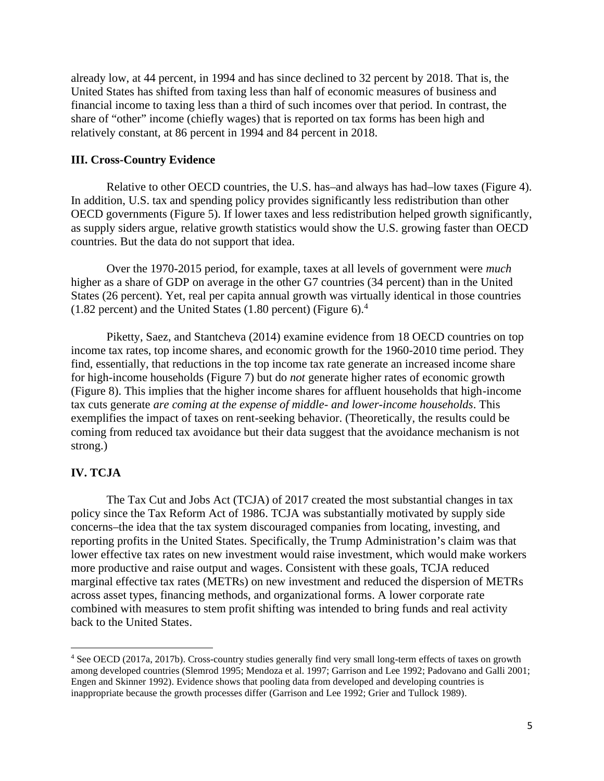already low, at 44 percent, in 1994 and has since declined to 32 percent by 2018. That is, the United States has shifted from taxing less than half of economic measures of business and financial income to taxing less than a third of such incomes over that period. In contrast, the share of "other" income (chiefly wages) that is reported on tax forms has been high and relatively constant, at 86 percent in 1994 and 84 percent in 2018.

### **III. Cross-Country Evidence**

Relative to other OECD countries, the U.S. has–and always has had–low taxes (Figure 4). In addition, U.S. tax and spending policy provides significantly less redistribution than other OECD governments (Figure 5). If lower taxes and less redistribution helped growth significantly, as supply siders argue, relative growth statistics would show the U.S. growing faster than OECD countries. But the data do not support that idea.

Over the 1970-2015 period, for example, taxes at all levels of government were *much* higher as a share of GDP on average in the other G7 countries (34 percent) than in the United States (26 percent). Yet, real per capita annual growth was virtually identical in those countries  $(1.82 \text{ percent})$  and the United States  $(1.80 \text{ percent})$  (Figure 6).<sup>4</sup>

Piketty, Saez, and Stantcheva (2014) examine evidence from 18 OECD countries on top income tax rates, top income shares, and economic growth for the 1960-2010 time period. They find, essentially, that reductions in the top income tax rate generate an increased income share for high-income households (Figure 7) but do *not* generate higher rates of economic growth (Figure 8). This implies that the higher income shares for affluent households that high-income tax cuts generate *are coming at the expense of middle- and lower-income households*. This exemplifies the impact of taxes on rent-seeking behavior. (Theoretically, the results could be coming from reduced tax avoidance but their data suggest that the avoidance mechanism is not strong.)

### **IV. TCJA**

The Tax Cut and Jobs Act (TCJA) of 2017 created the most substantial changes in tax policy since the Tax Reform Act of 1986. TCJA was substantially motivated by supply side concerns–the idea that the tax system discouraged companies from locating, investing, and reporting profits in the United States. Specifically, the Trump Administration's claim was that lower effective tax rates on new investment would raise investment, which would make workers more productive and raise output and wages. Consistent with these goals, TCJA reduced marginal effective tax rates (METRs) on new investment and reduced the dispersion of METRs across asset types, financing methods, and organizational forms. A lower corporate rate combined with measures to stem profit shifting was intended to bring funds and real activity back to the United States.

<sup>4</sup> See OECD (2017a, 2017b). Cross-country studies generally find very small long-term effects of taxes on growth among developed countries (Slemrod 1995; Mendoza et al. 1997; Garrison and Lee 1992; Padovano and Galli 2001; Engen and Skinner 1992). Evidence shows that pooling data from developed and developing countries is inappropriate because the growth processes differ (Garrison and Lee 1992; Grier and Tullock 1989).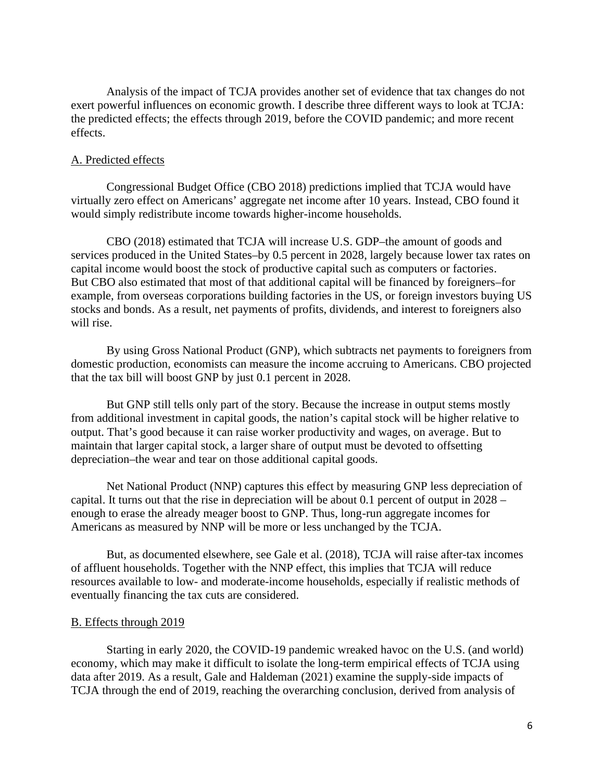Analysis of the impact of TCJA provides another set of evidence that tax changes do not exert powerful influences on economic growth. I describe three different ways to look at TCJA: the predicted effects; the effects through 2019, before the COVID pandemic; and more recent effects.

### A. Predicted effects

Congressional Budget Office (CBO 2018) predictions implied that TCJA would have virtually zero effect on Americans' aggregate net income after 10 years. Instead, CBO found it would simply redistribute income towards higher-income households.

CBO (2018) estimated that TCJA will increase U.S. GDP–the amount of goods and services produced in the United States–by 0.5 percent in 2028, largely because lower tax rates on capital income would boost the stock of productive capital such as computers or factories. But CBO also estimated that most of that additional capital will be financed by foreigners–for example, from overseas corporations building factories in the US, or foreign investors buying US stocks and bonds. As a result, net payments of profits, dividends, and interest to foreigners also will rise.<br>By using Gross National Product (GNP), which subtracts net payments to foreigners from

domestic production, economists can measure the income accruing to Americans. CBO projected that the tax bill will boost GNP by just 0.1 percent in 2028.

But GNP still tells only part of the story. Because the increase in output stems mostly from additional investment in capital goods, the nation's capital stock will be higher relative to output. That's good because it can raise worker productivity and wages, on average. But to maintain that larger capital stock, a larger share of output must be devoted to offsetting depreciation–the wear and tear on those additional capital goods.

Net National Product (NNP) captures this effect by measuring GNP less depreciation of capital. It turns out that the rise in depreciation will be about 0.1 percent of output in 2028 – enough to erase the already meager boost to GNP. Thus, long-run aggregate incomes for Americans as measured by NNP will be more or less unchanged by the TCJA.

But, as documented elsewhere, see Gale et al. (2018), TCJA will raise after-tax incomes of affluent households. Together with the NNP effect, this implies that TCJA will reduce resources available to low- and moderate-income households, especially if realistic methods of eventually financing the tax cuts are considered.

#### B. Effects through 2019

Starting in early 2020, the COVID-19 pandemic wreaked havoc on the U.S. (and world) economy, which may make it difficult to isolate the long-term empirical effects of TCJA using data after 2019. As a result, Gale and Haldeman (2021) examine the supply-side impacts of TCJA through the end of 2019, reaching the overarching conclusion, derived from analysis of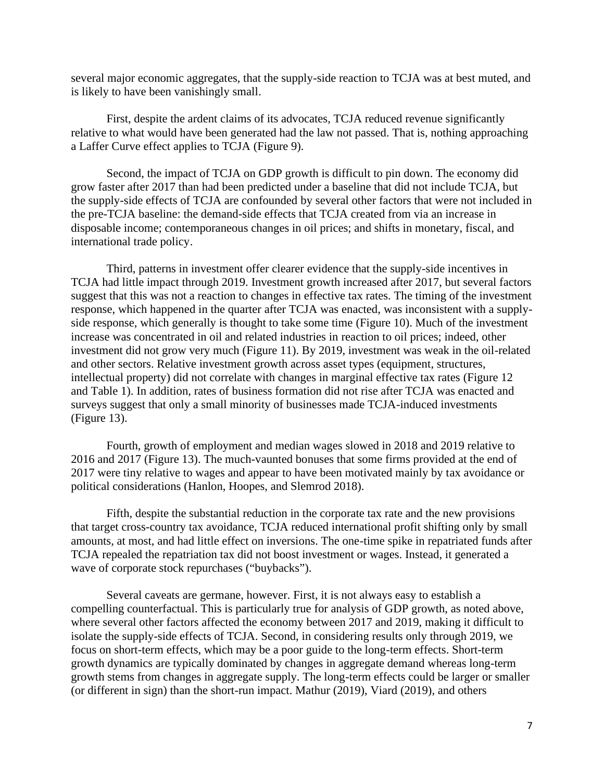several major economic aggregates, that the supply-side reaction to TCJA was at best muted, and is likely to have been vanishingly small.

First, despite the ardent claims of its advocates, TCJA reduced revenue significantly relative to what would have been generated had the law not passed. That is, nothing approaching a Laffer Curve effect applies to TCJA (Figure 9).

Second, the impact of TCJA on GDP growth is difficult to pin down. The economy did grow faster after 2017 than had been predicted under a baseline that did not include TCJA, but the supply-side effects of TCJA are confounded by several other factors that were not included in the pre-TCJA baseline: the demand-side effects that TCJA created from via an increase in disposable income; contemporaneous changes in oil prices; and shifts in monetary, fiscal, and international trade policy.

Third, patterns in investment offer clearer evidence that the supply-side incentives in TCJA had little impact through 2019. Investment growth increased after 2017, but several factors suggest that this was not a reaction to changes in effective tax rates. The timing of the investment response, which happened in the quarter after TCJA was enacted, was inconsistent with a supply side response, which generally is thought to take some time (Figure 10). Much of the investment increase was concentrated in oil and related industries in reaction to oil prices; indeed, other investment did not grow very much (Figure 11). By 2019, investment was weak in the oil-related and other sectors. Relative investment growth across asset types (equipment, structures, intellectual property) did not correlate with changes in marginal effective tax rates (Figure 12 and Table 1). In addition, rates of business formation did not rise after TCJA was enacted and surveys suggest that only a small minority of businesses made TCJA-induced investments (Figure 13).

Fourth, growth of employment and median wages slowed in 2018 and 2019 relative to 2016 and 2017 (Figure 13). The much-vaunted bonuses that some firms provided at the end of 2017 were tiny relative to wages and appear to have been motivated mainly by tax avoidance or political considerations (Hanlon, Hoopes, and Slemrod 2018).

Fifth, despite the substantial reduction in the corporate tax rate and the new provisions that target cross-country tax avoidance, TCJA reduced international profit shifting only by small amounts, at most, and had little effect on inversions. The one-time spike in repatriated funds after TCJA repealed the repatriation tax did not boost investment or wages. Instead, it generated a wave of corporate stock repurchases ("buybacks").

Several caveats are germane, however. First, it is not always easy to establish a compelling counterfactual. This is particularly true for analysis of GDP growth, as noted above, where several other factors affected the economy between 2017 and 2019, making it difficult to isolate the supply-side effects of TCJA. Second, in considering results only through 2019, we focus on short-term effects, which may be a poor guide to the long-term effects. Short-term growth dynamics are typically dominated by changes in aggregate demand whereas long-term growth stems from changes in aggregate supply. The long-term effects could be larger or smaller (or different in sign) than the short-run impact. Mathur (2019), Viard (2019), and others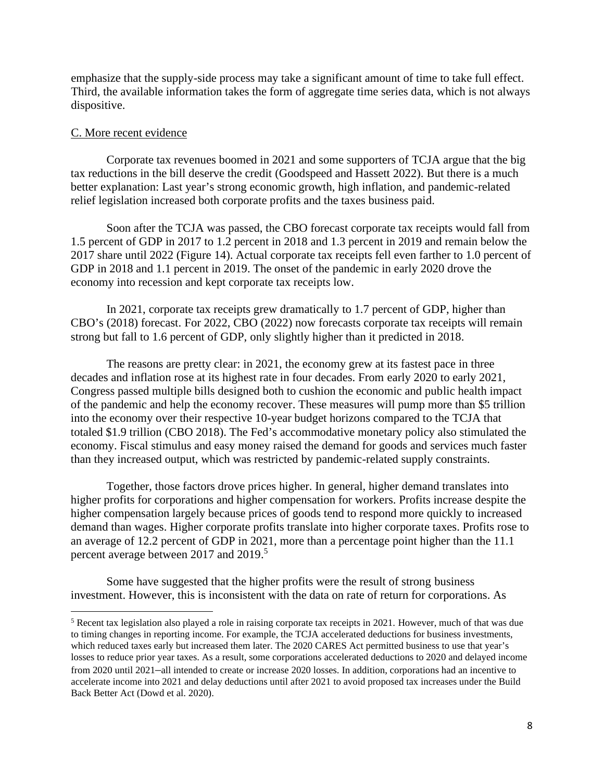emphasize that the supply-side process may take a significant amount of time to take full effect. Third, the available information takes the form of aggregate time series data, which is not always dispositive.

### C. More recent evidence

Corporate tax revenues boomed in 2021 and some supporters of TCJA argue that the big tax reductions in the bill deserve the credit (Goodspeed and Hassett 2022). But there is a much better explanation: Last year's strong economic growth, high inflation, and pandemic-related relief legislation increased both corporate profits and the taxes business paid.

Soon after the TCJA was passed, the CBO forecast corporate tax receipts would fall from 1.5 percent of GDP in 2017 to 1.2 percent in 2018 and 1.3 percent in 2019 and remain below the 2017 share until 2022 (Figure 14). Actual corporate tax receipts fell even farther to 1.0 percent of GDP in 2018 and 1.1 percent in 2019. The onset of the pandemic in early 2020 drove the economy into recession and kept corporate tax receipts low.

In 2021, corporate tax receipts grew dramatically to 1.7 percent of GDP, higher than CBO's (2018) forecast. For 2022, CBO (2022) now forecasts corporate tax receipts will remain strong but fall to 1.6 percent of GDP, only slightly higher than it predicted in 2018.

The reasons are pretty clear: in 2021, the economy grew at its fastest pace in three decades and inflation rose at its highest rate in four decades. From early 2020 to early 2021, Congress passed multiple bills designed both to cushion the economic and public health impact of the pandemic and help the economy recover. These measures will pump more than \$5 trillion into the economy over their respective 10-year budget horizons compared to the TCJA that totaled \$1.9 trillion (CBO 2018). The Fed's accommodative monetary policy also stimulated the economy. Fiscal stimulus and easy money raised the demand for goods and services much faster than they increased output, which was restricted by pandemic-related supply constraints.

Together, those factors drove prices higher. In general, higher demand translates into higher profits for corporations and higher compensation for workers. Profits increase despite the higher compensation largely because prices of goods tend to respond more quickly to increased demand than wages. Higher corporate profits translate into higher corporate taxes. Profits rose to an average of 12.2 percent of GDP in 2021, more than a percentage point higher than the 11.1 percent average between 2017 and 2019.<sup>5</sup>

Some have suggested that the higher profits were the result of strong business investment. However, this is inconsistent with the data on rate of return for corporations. As

<sup>5</sup> Recent tax legislation also played a role in raising corporate tax receipts in 2021. However, much of that was due to timing changes in reporting income. For example, the TCJA accelerated deductions for business investments, which reduced taxes early but increased them later. The 2020 CARES Act permitted business to use that year's losses to reduce prior year taxes. As a result, some corporations accelerated deductions to 2020 and delayed income from 2020 until 2021–all intended to create or increase 2020 losses. In addition, corporations had an incentive to accelerate income into 2021 and delay deductions until after 2021 to avoid proposed tax increases under the Build Back Better Act (Dowd et al. 2020).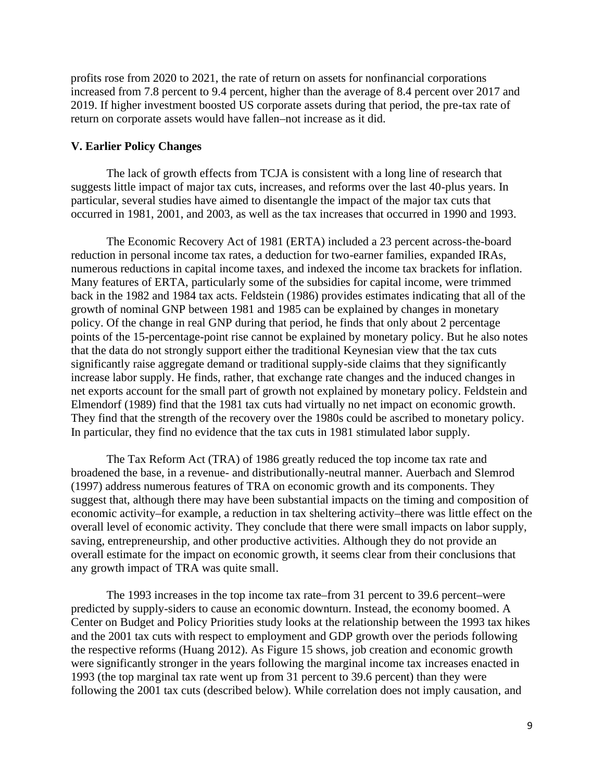profits rose from 2020 to 2021, the rate of return on assets for nonfinancial corporations increased from 7.8 percent to 9.4 percent, higher than the average of 8.4 percent over 2017 and 2019. If higher investment boosted US corporate assets during that period, the pre-tax rate of return on corporate assets would have fallen–not increase as it did.

### **V. Earlier Policy Changes**

The lack of growth effects from TCJA is consistent with a long line of research that suggests little impact of major tax cuts, increases, and reforms over the last 40-plus years. In particular, several studies have aimed to disentangle the impact of the major tax cuts that occurred in 1981, 2001, and 2003, as well as the tax increases that occurred in 1990 and 1993.

The Economic Recovery Act of 1981 (ERTA) included a 23 percent across-the-board reduction in personal income tax rates, a deduction for two-earner families, expanded IRAs, numerous reductions in capital income taxes, and indexed the income tax brackets for inflation. Many features of ERTA, particularly some of the subsidies for capital income, were trimmed back in the 1982 and 1984 tax acts. Feldstein (1986) provides estimates indicating that all of the growth of nominal GNP between 1981 and 1985 can be explained by changes in monetary policy. Of the change in real GNP during that period, he finds that only about 2 percentage points of the 15-percentage-point rise cannot be explained by monetary policy. But he also notes that the data do not strongly support either the traditional Keynesian view that the tax cuts significantly raise aggregate demand or traditional supply-side claims that they significantly increase labor supply. He finds, rather, that exchange rate changes and the induced changes in net exports account for the small part of growth not explained by monetary policy. Feldstein and Elmendorf (1989) find that the 1981 tax cuts had virtually no net impact on economic growth. They find that the strength of the recovery over the 1980s could be ascribed to monetary policy. In particular, they find no evidence that the tax cuts in 1981 stimulated labor supply.

The Tax Reform Act (TRA) of 1986 greatly reduced the top income tax rate and broadened the base, in a revenue- and distributionally-neutral manner. Auerbach and Slemrod (1997) address numerous features of TRA on economic growth and its components. They suggest that, although there may have been substantial impacts on the timing and composition of economic activity–for example, a reduction in tax sheltering activity–there was little effect on the overall level of economic activity. They conclude that there were small impacts on labor supply, saving, entrepreneurship, and other productive activities. Although they do not provide an overall estimate for the impact on economic growth, it seems clear from their conclusions that any growth impact of TRA was quite small.

The 1993 increases in the top income tax rate–from 31 percent to 39.6 percent–were predicted by supply-siders to cause an economic downturn. Instead, the economy boomed. A Center on Budget and Policy Priorities study looks at the relationship between the 1993 tax hikes and the 2001 tax cuts with respect to employment and GDP growth over the periods following the respective reforms (Huang 2012). As Figure 15 shows, job creation and economic growth were significantly stronger in the years following the marginal income tax increases enacted in 1993 (the top marginal tax rate went up from 31 percent to 39.6 percent) than they were following the 2001 tax cuts (described below). While correlation does not imply causation, and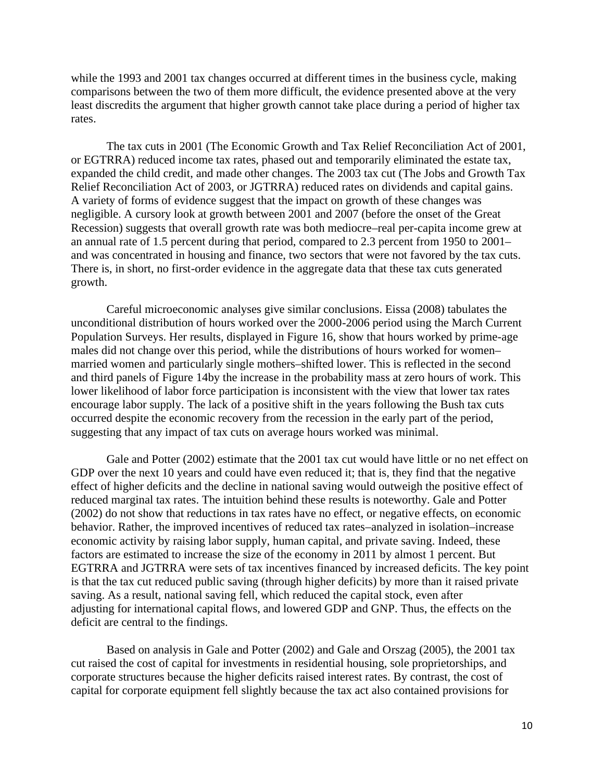while the 1993 and 2001 tax changes occurred at different times in the business cycle, making comparisons between the two of them more difficult, the evidence presented above at the very least discredits the argument that higher growth cannot take place during a period of higher tax rates.

The tax cuts in 2001 (The Economic Growth and Tax Relief Reconciliation Act of 2001, or EGTRRA) reduced income tax rates, phased out and temporarily eliminated the estate tax, expanded the child credit, and made other changes. The 2003 tax cut (The Jobs and Growth Tax Relief Reconciliation Act of 2003, or JGTRRA) reduced rates on dividends and capital gains. A variety of forms of evidence suggest that the impact on growth of these changes was negligible. A cursory look at growth between 2001 and 2007 (before the onset of the Great Recession) suggests that overall growth rate was both mediocre–real per-capita income grew at an annual rate of 1.5 percent during that period, compared to 2.3 percent from 1950 to 2001– and was concentrated in housing and finance, two sectors that were not favored by the tax cuts. There is, in short, no first-order evidence in the aggregate data that these tax cuts generated growth.

Careful microeconomic analyses give similar conclusions. Eissa (2008) tabulates the unconditional distribution of hours worked over the 2000-2006 period using the March Current Population Surveys. Her results, displayed in Figure 16, show that hours worked by prime-age males did not change over this period, while the distributions of hours worked for women– married women and particularly single mothers–shifted lower. This is reflected in the second and third panels of Figure 14by the increase in the probability mass at zero hours of work. This lower likelihood of labor force participation is inconsistent with the view that lower tax rates encourage labor supply. The lack of a positive shift in the years following the Bush tax cuts occurred despite the economic recovery from the recession in the early part of the period, suggesting that any impact of tax cuts on average hours worked was minimal.

Gale and Potter (2002) estimate that the 2001 tax cut would have little or no net effect on GDP over the next 10 years and could have even reduced it; that is, they find that the negative effect of higher deficits and the decline in national saving would outweigh the positive effect of reduced marginal tax rates. The intuition behind these results is noteworthy. Gale and Potter (2002) do not show that reductions in tax rates have no effect, or negative effects, on economic behavior. Rather, the improved incentives of reduced tax rates–analyzed in isolation–increase economic activity by raising labor supply, human capital, and private saving. Indeed, these factors are estimated to increase the size of the economy in 2011 by almost 1 percent. But EGTRRA and JGTRRA were sets of tax incentives financed by increased deficits. The key point is that the tax cut reduced public saving (through higher deficits) by more than it raised private saving. As a result, national saving fell, which reduced the capital stock, even after adjusting for international capital flows, and lowered GDP and GNP. Thus, the effects on the deficit are central to the findings.

Based on analysis in Gale and Potter (2002) and Gale and Orszag (2005), the 2001 tax cut raised the cost of capital for investments in residential housing, sole proprietorships, and corporate structures because the higher deficits raised interest rates. By contrast, the cost of capital for corporate equipment fell slightly because the tax act also contained provisions for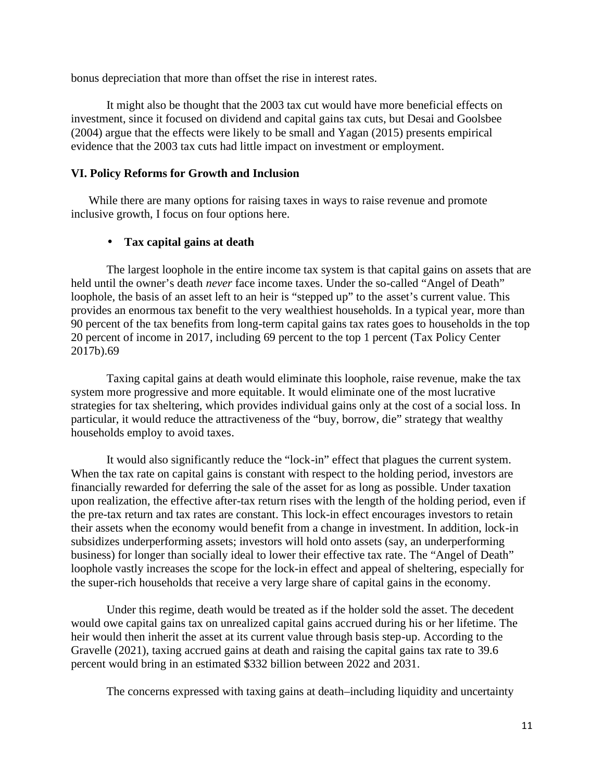bonus depreciation that more than offset the rise in interest rates.

It might also be thought that the 2003 tax cut would have more beneficial effects on investment, since it focused on dividend and capital gains tax cuts, but Desai and Goolsbee (2004) argue that the effects were likely to be small and Yagan (2015) presents empirical evidence that the 2003 tax cuts had little impact on investment or employment.

# **VI. Policy Reforms for Growth and Inclusion**

While there are many options for raising taxes in ways to raise revenue and promote inclusive growth, I focus on four options here.

# **Tax capital gains at death**

The largest loophole in the entire income tax system is that capital gains on assets that are held until the owner's death *never* face income taxes. Under the so-called "Angel of Death" loophole, the basis of an asset left to an heir is "stepped up" to the asset's current value. This provides an enormous tax benefit to the very wealthiest households. In a typical year, more than 90 percent of the tax benefits from long-term capital gains tax rates goes to households in the top 20 percent of income in 2017, including 69 percent to the top 1 percent (Tax Policy Center 2017b).69

Taxing capital gains at death would eliminate this loophole, raise revenue, make the tax system more progressive and more equitable. It would eliminate one of the most lucrative strategies for tax sheltering, which provides individual gains only at the cost of a social loss. In particular, it would reduce the attractiveness of the "buy, borrow, die" strategy that wealthy households employ to avoid taxes.

It would also significantly reduce the "lock-in" effect that plagues the current system. When the tax rate on capital gains is constant with respect to the holding period, investors are financially rewarded for deferring the sale of the asset for as long as possible. Under taxation upon realization, the effective after-tax return rises with the length of the holding period, even if the pre-tax return and tax rates are constant. This lock-in effect encourages investors to retain their assets when the economy would benefit from a change in investment. In addition, lock-in subsidizes underperforming assets; investors will hold onto assets (say, an underperforming business) for longer than socially ideal to lower their effective tax rate. The "Angel of Death" loophole vastly increases the scope for the lock-in effect and appeal of sheltering, especially for the super-rich households that receive a very large share of capital gains in the economy.

Under this regime, death would be treated as if the holder sold the asset. The decedent would owe capital gains tax on unrealized capital gains accrued during his or her lifetime. The heir would then inherit the asset at its current value through basis step-up. According to the Gravelle (2021), taxing accrued gains at death and raising the capital gains tax rate to 39.6 percent would bring in an estimated \$332 billion between 2022 and 2031.

The concerns expressed with taxing gains at death–including liquidity and uncertainty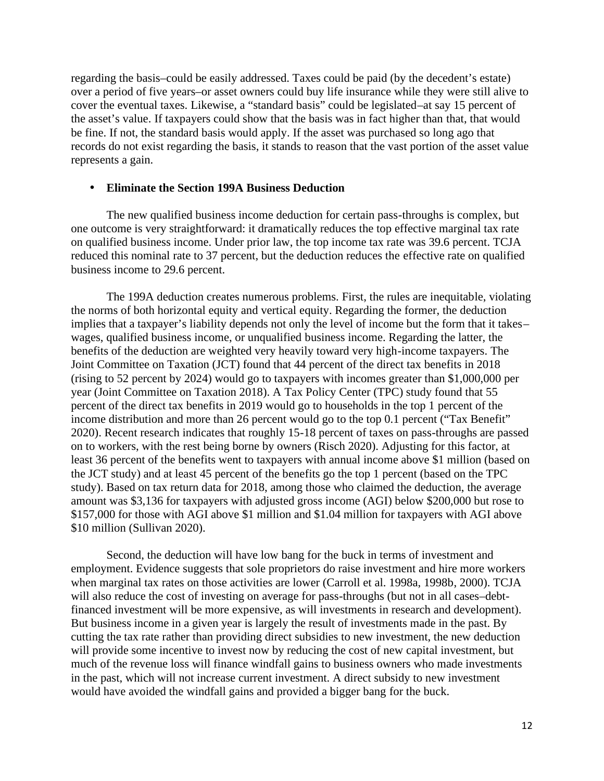regarding the basis–could be easily addressed. Taxes could be paid (by the decedent's estate) over a period of five years–or asset owners could buy life insurance while they were still alive to cover the eventual taxes. Likewise, a "standard basis" could be legislated–at say 15 percent of the asset's value. If taxpayers could show that the basis was in fact higher than that, that would be fine. If not, the standard basis would apply. If the asset was purchased so long ago that records do not exist regarding the basis, it stands to reason that the vast portion of the asset value represents a gain.

### **Eliminate the Section 199A Business Deduction**

The new qualified business income deduction for certain pass-throughs is complex, but one outcome is very straightforward: it dramatically reduces the top effective marginal tax rate on qualified business income. Under prior law, the top income tax rate was 39.6 percent. TCJA reduced this nominal rate to 37 percent, but the deduction reduces the effective rate on qualified business income to 29.6 percent.

The 199A deduction creates numerous problems. First, the rules are inequitable, violating the norms of both horizontal equity and vertical equity. Regarding the former, the deduction implies that a taxpayer's liability depends not only the level of income but the form that it takes– wages, qualified business income, or unqualified business income. Regarding the latter, the benefits of the deduction are weighted very heavily toward very high-income taxpayers. The Joint Committee on Taxation (JCT) found that 44 percent of the direct tax benefits in 2018 (rising to 52 percent by 2024) would go to taxpayers with incomes greater than \$1,000,000 per year (Joint Committee on Taxation 2018). A Tax Policy Center (TPC) study found that 55 percent of the direct tax benefits in 2019 would go to households in the top 1 percent of the income distribution and more than 26 percent would go to the top 0.1 percent ("Tax Benefit" 2020). Recent research indicates that roughly 15-18 percent of taxes on pass-throughs are passed on to workers, with the rest being borne by owners (Risch 2020). Adjusting for this factor, at least 36 percent of the benefits went to taxpayers with annual income above \$1 million (based on the JCT study) and at least 45 percent of the benefits go the top 1 percent (based on the TPC study). Based on tax return data for 2018, among those who claimed the deduction, the average amount was \$3,136 for taxpayers with adjusted gross income (AGI) below \$200,000 but rose to \$157,000 for those with AGI above \$1 million and \$1.04 million for taxpayers with AGI above \$10 million (Sullivan 2020).

Second, the deduction will have low bang for the buck in terms of investment and employment. Evidence suggests that sole proprietors do raise investment and hire more workers when marginal tax rates on those activities are lower (Carroll et al. 1998a, 1998b, 2000). TCJA will also reduce the cost of investing on average for pass-throughs (but not in all cases–debtfinanced investment will be more expensive, as will investments in research and development). But business income in a given year is largely the result of investments made in the past. By cutting the tax rate rather than providing direct subsidies to new investment, the new deduction will provide some incentive to invest now by reducing the cost of new capital investment, but much of the revenue loss will finance windfall gains to business owners who made investments in the past, which will not increase current investment. A direct subsidy to new investment would have avoided the windfall gains and provided a bigger bang for the buck.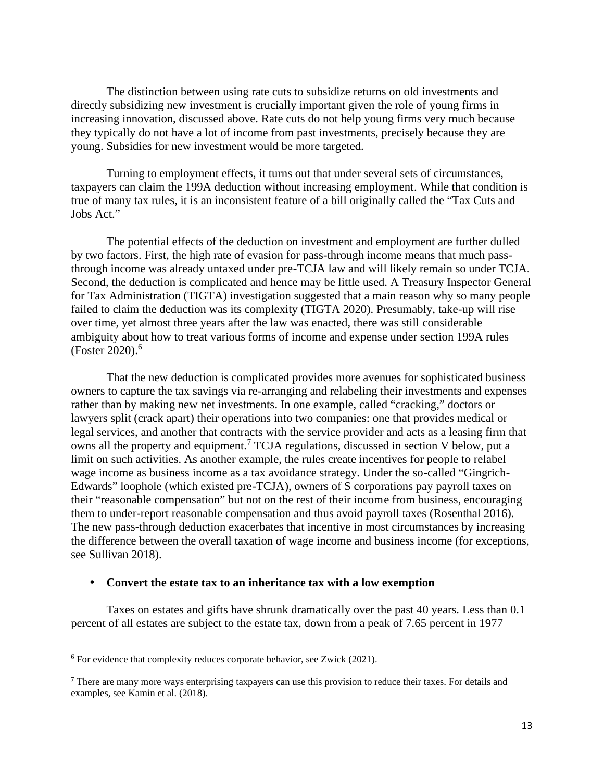The distinction between using rate cuts to subsidize returns on old investments and directly subsidizing new investment is crucially important given the role of young firms in increasing innovation, discussed above. Rate cuts do not help young firms very much because they typically do not have a lot of income from past investments, precisely because they are young. Subsidies for new investment would be more targeted.

Turning to employment effects, it turns out that under several sets of circumstances, taxpayers can claim the 199A deduction without increasing employment. While that condition is true of many tax rules, it is an inconsistent feature of a bill originally called the "Tax Cuts and Jobs Act."

The potential effects of the deduction on investment and employment are further dulled by two factors. First, the high rate of evasion for pass-through income means that much passthrough income was already untaxed under pre-TCJA law and will likely remain so under TCJA. Second, the deduction is complicated and hence may be little used. A Treasury Inspector General for Tax Administration (TIGTA) investigation suggested that a main reason why so many people failed to claim the deduction was its complexity (TIGTA 2020). Presumably, take-up will rise over time, yet almost three years after the law was enacted, there was still considerable ambiguity about how to treat various forms of income and expense under section 199A rules (Foster  $2020$ ).<sup>6</sup>

That the new deduction is complicated provides more avenues for sophisticated business owners to capture the tax savings via re-arranging and relabeling their investments and expenses rather than by making new net investments. In one example, called "cracking," doctors or lawyers split (crack apart) their operations into two companies: one that provides medical or legal services, and another that contracts with the service provider and acts as a leasing firm that owns all the property and equipment.<sup>7</sup> TCJA regulations, discussed in section V below, put a limit on such activities. As another example, the rules create incentives for people to relabel wage income as business income as a tax avoidance strategy. Under the so-called "Gingrich- Edwards" loophole (which existed pre-TCJA), owners of S corporations pay payroll taxes on their "reasonable compensation" but not on the rest of their income from business, encouraging them to under-report reasonable compensation and thus avoid payroll taxes (Rosenthal 2016). The new pass-through deduction exacerbates that incentive in most circumstances by increasing the difference between the overall taxation of wage income and business income (for exceptions, see Sullivan 2018).

### **Convert the estate tax to an inheritance tax with a low exemption**

Taxes on estates and gifts have shrunk dramatically over the past 40 years. Less than 0.1 percent of all estates are subject to the estate tax, down from a peak of 7.65 percent in 1977

 $6$  For evidence that complexity reduces corporate behavior, see Zwick (2021).

 $<sup>7</sup>$  There are many more ways enterprising taxpayers can use this provision to reduce their taxes. For details and</sup> examples, see Kamin et al. (2018).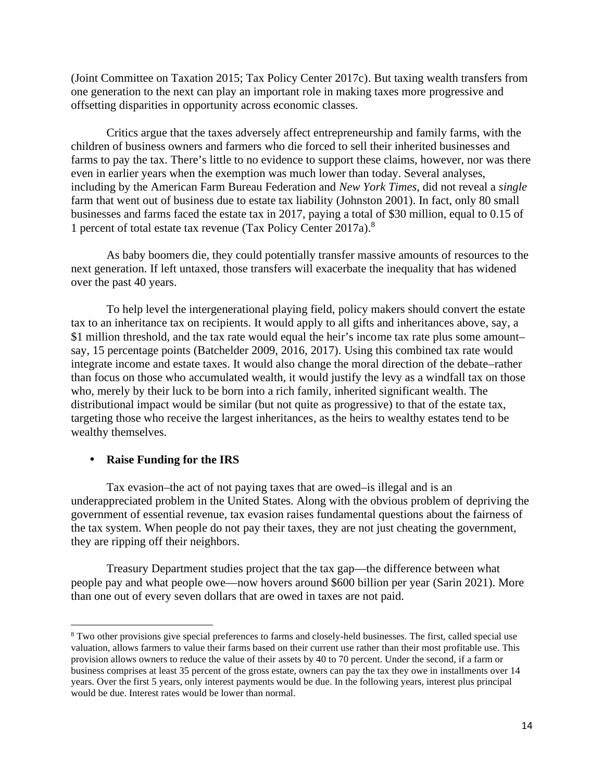(Joint Committee on Taxation 2015; Tax Policy Center 2017c). But taxing wealth transfers from one generation to the next can play an important role in making taxes more progressive and offsetting disparities in opportunity across economic classes.

Critics argue that the taxes adversely affect entrepreneurship and family farms, with the children of business owners and farmers who die forced to sell their inherited businesses and farms to pay the tax. There's little to no evidence to support these claims, however, nor was there even in earlier years when the exemption was much lower than today. Several analyses, including by the American Farm Bureau Federation and *New York Times*, did not reveal a *single* farm that went out of business due to estate tax liability (Johnston 2001). In fact, only 80 small businesses and farms faced the estate tax in 2017, paying a total of \$30 million, equal to 0.15 of 1 percent of total estate tax revenue (Tax Policy Center 2017a).<sup>8</sup>

As baby boomers die, they could potentially transfer massive amounts of resources to the next generation. If left untaxed, those transfers will exacerbate the inequality that has widened over the past 40 years.

To help level the intergenerational playing field, policy makers should convert the estate tax to an inheritance tax on recipients. It would apply to all gifts and inheritances above, say, a \$1 million threshold, and the tax rate would equal the heir's income tax rate plus some amount– say, 15 percentage points (Batchelder 2009, 2016, 2017). Using this combined tax rate would integrate income and estate taxes. It would also change the moral direction of the debate–rather than focus on those who accumulated wealth, it would justify the levy as a windfall tax on those who, merely by their luck to be born into a rich family, inherited significant wealth. The distributional impact would be similar (but not quite as progressive) to that of the estate tax, targeting those who receive the largest inheritances, as the heirs to wealthy estates tend to be wealthy themselves.

### **Raise Funding for the IRS**

Tax evasion–the act of not paying taxes that are owed–is illegal and is an underappreciated problem in the United States. Along with the obvious problem of depriving the government of essential revenue, tax evasion raises fundamental questions about the fairness of the tax system. When people do not pay their taxes, they are not just cheating the government, they are ripping off their neighbors.

Treasury Department studies project that the tax gap—the difference between what people pay and what people owe—now hovers around \$600 billion per year (Sarin 2021). More than one out of every seven dollars that are owed in taxes are not paid.

<sup>8</sup> Two other provisions give special preferences to farms and closely-held businesses. The first, called special use valuation, allows farmers to value their farms based on their current use rather than their most profitable use. This provision allows owners to reduce the value of their assets by 40 to 70 percent. Under the second, if a farm or business comprises at least 35 percent of the gross estate, owners can pay the tax they owe in installments over 14 years. Over the first 5 years, only interest payments would be due. In the following years, interest plus principal would be due. Interest rates would be lower than normal.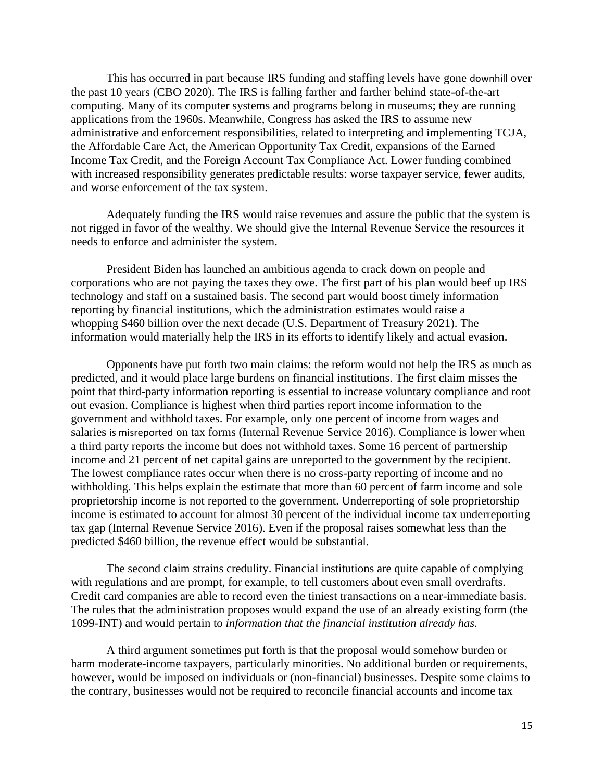This has occurred in part because IRS funding and staffing levels have gone downhill over the past 10 years (CBO 2020). The IRS is falling farther and farther behind state-of-the-art computing. Many of its computer systems and programs belong in museums; they are running applications from the 1960s. Meanwhile, Congress has asked the IRS to assume new administrative and enforcement responsibilities, related to interpreting and implementing TCJA, the Affordable Care Act, the American Opportunity Tax Credit, expansions of the Earned Income Tax Credit, and the Foreign Account Tax Compliance Act. Lower funding combined with increased responsibility generates predictable results: worse taxpayer service, fewer audits, and worse enforcement of the tax system.

Adequately funding the IRS would raise revenues and assure the public that the system is not rigged in favor of the wealthy. We should give the Internal Revenue Service the resources it needs to enforce and administer the system.

President Biden has launched an ambitious agenda to crack down on people and corporations who are not paying the taxes they owe. The first part of his plan would beef up IRS technology and staff on a sustained basis. The second part would boost timely information reporting by financial institutions, which the administration estimates would raise a whopping \$460 billion over the next decade (U.S. Department of Treasury 2021). The information would materially help the IRS in its efforts to identify likely and actual evasion.

Opponents have put forth two main claims: the reform would not help the IRS as much as predicted, and it would place large burdens on financial institutions. The first claim misses the point that third-party information reporting is essential to increase voluntary compliance and root out evasion. Compliance is highest when third parties report income information to the government and withhold taxes. For example, only one percent of income from wages and salaries is misreported on tax forms (Internal Revenue Service 2016). Compliance is lower when a third party reports the income but does not withhold taxes. Some 16 percent of partnership income and 21 percent of net capital gains are unreported to the government by the recipient. The lowest compliance rates occur when there is no cross-party reporting of income and no withholding. This helps explain the estimate that more than 60 percent of farm income and sole proprietorship income is not reported to the government. Underreporting of sole proprietorship income is estimated to account for almost 30 percent of the individual income tax underreporting tax gap (Internal Revenue Service 2016). Even if the proposal raises somewhat less than the predicted \$460 billion, the revenue effect would be substantial.

The second claim strains credulity. Financial institutions are quite capable of complying with regulations and are prompt, for example, to tell customers about even small overdrafts. Credit card companies are able to record even the tiniest transactions on a near-immediate basis. The rules that the administration proposes would expand the use of an already existing form (the 1099-INT) and would pertain to *information that the financial institution already has.*

A third argument sometimes put forth is that the proposal would somehow burden or harm moderate-income taxpayers, particularly minorities. No additional burden or requirements, however, would be imposed on individuals or (non-financial) businesses. Despite some claims to the contrary, businesses would not be required to reconcile financial accounts and income tax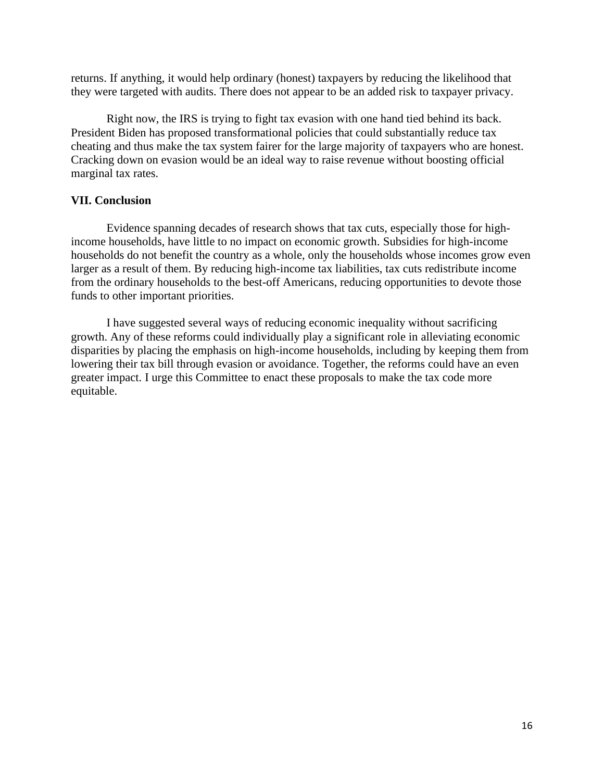returns. If anything, it would help ordinary (honest) taxpayers by reducing the likelihood that they were targeted with audits. There does not appear to be an added risk to taxpayer privacy.

Right now, the IRS is trying to fight tax evasion with one hand tied behind its back. President Biden has proposed transformational policies that could substantially reduce tax cheating and thus make the tax system fairer for the large majority of taxpayers who are honest. Cracking down on evasion would be an ideal way to raise revenue without boosting official marginal tax rates.

### **VII. Conclusion**

Evidence spanning decades of research shows that tax cuts, especially those for highincome households, have little to no impact on economic growth. Subsidies for high-income households do not benefit the country as a whole, only the households whose incomes grow even larger as a result of them. By reducing high-income tax liabilities, tax cuts redistribute income from the ordinary households to the best-off Americans, reducing opportunities to devote those funds to other important priorities.

I have suggested several ways of reducing economic inequality without sacrificing growth. Any of these reforms could individually play a significant role in alleviating economic disparities by placing the emphasis on high-income households, including by keeping them from lowering their tax bill through evasion or avoidance. Together, the reforms could have an even greater impact. I urge this Committee to enact these proposals to make the tax code more equitable.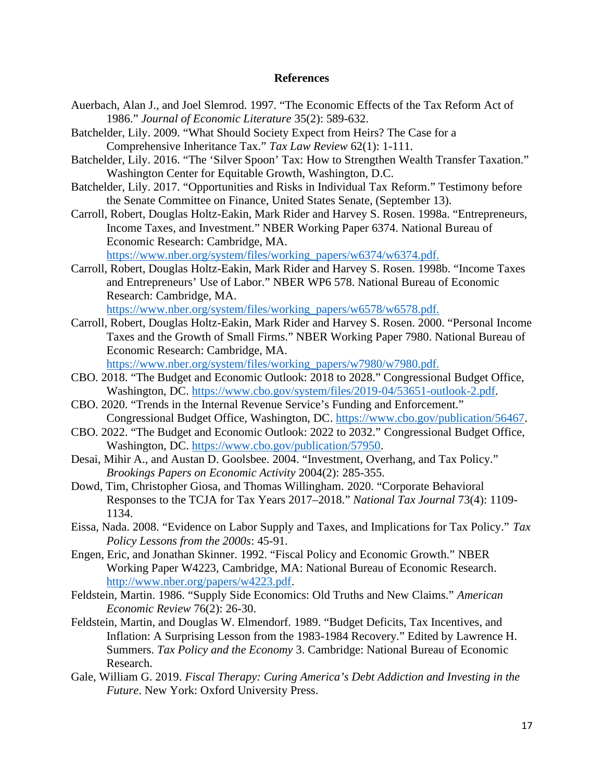### **References**

- Auerbach, Alan J., and Joel Slemrod. 1997. "The Economic Effects of the Tax Reform Act of 1986." *Journal of Economic Literature* 35(2): 589-632.
- Batchelder, Lily. 2009. "What Should Society Expect from Heirs? The Case for a Comprehensive Inheritance Tax." *Tax Law Review* 62(1): 1-111.
- Batchelder, Lily. 2016. "The 'Silver Spoon' Tax: How to Strengthen Wealth Transfer Taxation." Washington Center for Equitable Growth, Washington, D.C.
- Batchelder, Lily. 2017. "Opportunities and Risks in Individual Tax Reform." Testimony before the Senate Committee on Finance, United States Senate, (September 13).
- Carroll, Robert, Douglas Holtz-Eakin, Mark Rider and Harvey S. Rosen. 1998a. "Entrepreneurs, Income Taxes, and Investment." NBER Working Paper 6374. National Bureau of Economic Research: Cambridge, MA. https://www.nber.org/system/files/working\_papers/w6374/w6374.pdf.
- Carroll, Robert, Douglas Holtz-Eakin, Mark Rider and Harvey S. Rosen. 1998b. "Income Taxes and Entrepreneurs' Use of Labor." NBER WP6 578. National Bureau of Economic Research: Cambridge, MA.

https://www.nber.org/system/files/working\_papers/w6578/w6578.pdf.

Carroll, Robert, Douglas Holtz-Eakin, Mark Rider and Harvey S. Rosen. 2000. "Personal Income Taxes and the Growth of Small Firms." NBER Working Paper 7980. National Bureau of Economic Research: Cambridge, MA.

https://www.nber.org/system/files/working\_papers/w7980/w7980.pdf.

- CBO. 2018. "The Budget and Economic Outlook: 2018 to 2028." Congressional Budget Office, Washington, DC. https://www.cbo.gov/system/files/2019-04/53651-outlook-2.pdf.
- CBO. 2020. "Trends in the Internal Revenue Service's Funding and Enforcement." Congressional Budget Office, Washington, DC. https://www.cbo.gov/publication/56467.
- CBO. 2022. "The Budget and Economic Outlook: 2022 to 2032." Congressional Budget Office, Washington, DC. https://www.cbo.gov/publication/57950.
- Desai, Mihir A., and Austan D. Goolsbee. 2004. "Investment, Overhang, and Tax Policy." *Brookings Papers on Economic Activity* 2004(2): 285-355.
- Dowd, Tim, Christopher Giosa, and Thomas Willingham. 2020. "Corporate Behavioral Responses to the TCJA for Tax Years 2017–2018." *National Tax Journal* 73(4): 1109- 1134.
- Eissa, Nada. 2008. "Evidence on Labor Supply and Taxes, and Implications for Tax Policy." *Tax Policy Lessons from the 2000s*: 45-91.
- Engen, Eric, and Jonathan Skinner. 1992. "Fiscal Policy and Economic Growth." NBER Working Paper W4223, Cambridge, MA: National Bureau of Economic Research. http://www.nber.org/papers/w4223.pdf.
- Feldstein, Martin. 1986. "Supply Side Economics: Old Truths and New Claims." *American Economic Review* 76(2): 26-30.
- Feldstein, Martin, and Douglas W. Elmendorf. 1989. "Budget Deficits, Tax Incentives, and Inflation: A Surprising Lesson from the 1983-1984 Recovery." Edited by Lawrence H. Summers. *Tax Policy and the Economy* 3. Cambridge: National Bureau of Economic Research.
- Gale, William G. 2019. *Fiscal Therapy: Curing America's Debt Addiction and Investing in the Future*. New York: Oxford University Press.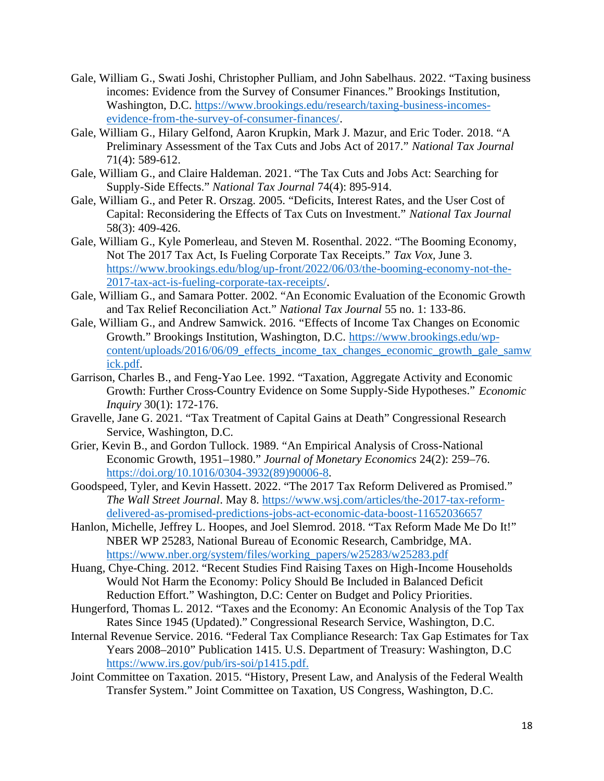- Gale, William G., Swati Joshi, Christopher Pulliam, and John Sabelhaus. 2022. "Taxing business incomes: Evidence from the Survey of Consumer Finances." Brookings Institution, Washington, D.C. https://www.brookings.edu/research/taxing-business-incomes evidence-from-the-survey-of-consumer-finances/.
- Gale, William G., Hilary Gelfond, Aaron Krupkin, Mark J. Mazur, and Eric Toder. 2018. "A Preliminary Assessment of the Tax Cuts and Jobs Act of 2017." *National Tax Journal* 71(4): 589-612.
- Gale, William G., and Claire Haldeman. 2021. "The Tax Cuts and Jobs Act: Searching for Supply-Side Effects." *National Tax Journal* 74(4): 895-914.
- Gale, William G., and Peter R. Orszag. 2005. "Deficits, Interest Rates, and the User Cost of Capital: Reconsidering the Effects of Tax Cuts on Investment." *National Tax Journal* 58(3): 409-426.
- Gale, William G., Kyle Pomerleau, and Steven M. Rosenthal. 2022. "The Booming Economy, Not The 2017 Tax Act, Is Fueling Corporate Tax Receipts." *Tax Vox,* June 3. https://www.brookings.edu/blog/up-front/2022/06/03/the-booming-economy-not-the- 2017-tax-act-is-fueling-corporate-tax-receipts/.
- Gale, William G., and Samara Potter. 2002. "An Economic Evaluation of the Economic Growth and Tax Relief Reconciliation Act." *National Tax Journal* 55 no. 1: 133-86.
- Gale, William G., and Andrew Samwick. 2016. "Effects of Income Tax Changes on Economic Growth." Brookings Institution, Washington, D.C. https://www.brookings.edu/wp content/uploads/2016/06/09\_effects\_income\_tax\_changes\_economic\_growth\_gale\_samw ick.pdf.
- Garrison, Charles B., and Feng-Yao Lee. 1992. "Taxation, Aggregate Activity and Economic Growth: Further Cross‐Country Evidence on Some Supply‐Side Hypotheses." *Economic Inquiry* 30(1): 172-176.
- Gravelle, Jane G. 2021. "Tax Treatment of Capital Gains at Death" Congressional Research Service, Washington, D.C.
- Grier, Kevin B., and Gordon Tullock. 1989. "An Empirical Analysis of Cross-National Economic Growth, 1951–1980." *Journal of Monetary Economics* 24(2): 259–76. https://doi.org/10.1016/0304-3932(89)90006-8.
- Goodspeed, Tyler, and Kevin Hassett. 2022. "The 2017 Tax Reform Delivered as Promised." *The Wall Street Journal*. May 8. https://www.wsj.com/articles/the-2017-tax-reform delivered-as-promised-predictions-jobs-act-economic-data-boost-11652036657
- Hanlon, Michelle, Jeffrey L. Hoopes, and Joel Slemrod. 2018. "Tax Reform Made Me Do It!" NBER WP 25283, National Bureau of Economic Research, Cambridge, MA. https://www.nber.org/system/files/working\_papers/w25283/w25283.pdf
- Huang, Chye-Ching. 2012. "Recent Studies Find Raising Taxes on High-Income Households Would Not Harm the Economy: Policy Should Be Included in Balanced Deficit Reduction Effort." Washington, D.C: Center on Budget and Policy Priorities.
- Hungerford, Thomas L. 2012. "Taxes and the Economy: An Economic Analysis of the Top Tax Rates Since 1945 (Updated)." Congressional Research Service, Washington, D.C.
- Internal Revenue Service. 2016. "Federal Tax Compliance Research: Tax Gap Estimates for Tax Years 2008–2010" Publication 1415. U.S. Department of Treasury: Washington, D.C https://www.irs.gov/pub/irs-soi/p1415.pdf.
- Joint Committee on Taxation. 2015. "History, Present Law, and Analysis of the Federal Wealth Transfer System." Joint Committee on Taxation, US Congress, Washington, D.C.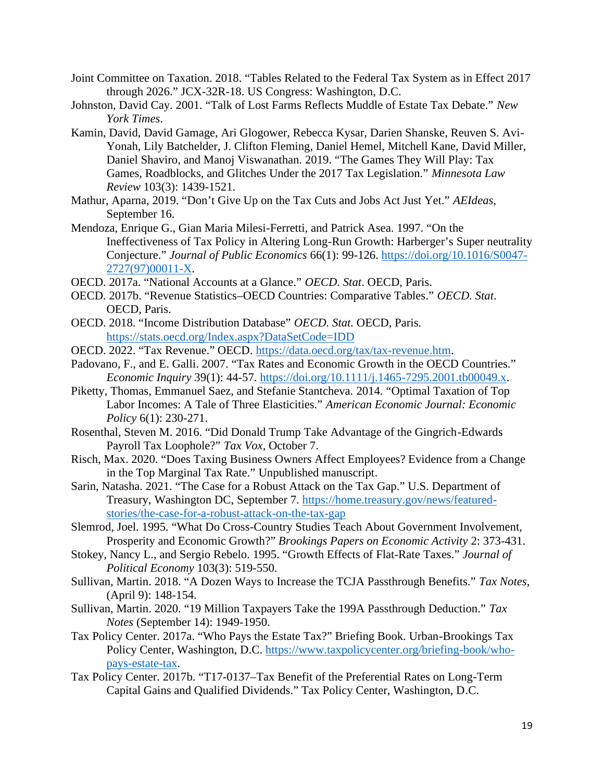- Joint Committee on Taxation. 2018. "Tables Related to the Federal Tax System as in Effect 2017 through 2026." JCX-32R-18. US Congress: Washington, D.C.
- Johnston, David Cay. 2001. "Talk of Lost Farms Reflects Muddle of Estate Tax Debate." *New York Times*.
- Kamin, David, David Gamage, Ari Glogower, Rebecca Kysar, Darien Shanske, Reuven S. Avi- Yonah, Lily Batchelder, J. Clifton Fleming, Daniel Hemel, Mitchell Kane, David Miller, Daniel Shaviro, and Manoj Viswanathan. 2019. "The Games They Will Play: Tax Games, Roadblocks, and Glitches Under the 2017 Tax Legislation." *Minnesota Law Review* 103(3): 1439-1521.
- Mathur, Aparna, 2019. "Don't Give Up on the Tax Cuts and Jobs Act Just Yet." *AEIdeas*, September 16.
- Mendoza, Enrique G., Gian Maria Milesi-Ferretti, and Patrick Asea. 1997. "On the Ineffectiveness of Tax Policy in Altering Long-Run Growth: Harberger's Super neutrality Conjecture." *Journal of Public Economics* 66(1): 99-126. https://doi.org/10.1016/S0047- 2727(97)00011-X.
- OECD. 2017a. "National Accounts at a Glance." *OECD. Stat*. OECD, Paris.
- OECD. 2017b. "Revenue Statistics–OECD Countries: Comparative Tables." *OECD. Stat*. OECD, Paris.
- OECD. 2018. "Income Distribution Database" *OECD. Stat.* OECD, Paris. https://stats.oecd.org/Index.aspx?DataSetCode=IDD
- OECD. 2022. "Tax Revenue." OECD. https://data.oecd.org/tax/tax-revenue.htm.
- Padovano, F., and E. Galli. 2007. "Tax Rates and Economic Growth in the OECD Countries." *Economic Inquiry* 39(1): 44-57. https://doi.org/10.1111/j.1465-7295.2001.tb00049.x.
- Piketty, Thomas, Emmanuel Saez, and Stefanie Stantcheva. 2014. "Optimal Taxation of Top Labor Incomes: A Tale of Three Elasticities." *American Economic Journal: Economic Policy* 6(1): 230-271.
- Rosenthal, Steven M. 2016. "Did Donald Trump Take Advantage of the Gingrich-Edwards Payroll Tax Loophole?" *Tax Vox*, October 7.
- Risch, Max. 2020. "Does Taxing Business Owners Affect Employees? Evidence from a Change in the Top Marginal Tax Rate." Unpublished manuscript.
- Sarin, Natasha. 2021. "The Case for a Robust Attack on the Tax Gap." U.S. Department of Treasury, Washington DC, September 7. https://home.treasury.gov/news/featured stories/the-case-for-a-robust-attack-on-the-tax-gap
- Slemrod, Joel. 1995. "What Do Cross-Country Studies Teach About Government Involvement, Prosperity and Economic Growth?" *Brookings Papers on Economic Activity* 2: 373-431.
- Stokey, Nancy L., and Sergio Rebelo. 1995. "Growth Effects of Flat-Rate Taxes." *Journal of Political Economy* 103(3): 519-550.
- Sullivan, Martin. 2018. "A Dozen Ways to Increase the TCJA Passthrough Benefits." *Tax Notes*, (April 9): 148-154.
- Sullivan, Martin. 2020. "19 Million Taxpayers Take the 199A Passthrough Deduction." *Tax Notes* (September 14): 1949-1950.
- Tax Policy Center. 2017a. "Who Pays the Estate Tax?" Briefing Book. Urban-Brookings Tax Policy Center, Washington, D.C. https://www.taxpolicycenter.org/briefing-book/who pays-estate-tax.
- Tax Policy Center. 2017b. "T17-0137–Tax Benefit of the Preferential Rates on Long-Term Capital Gains and Qualified Dividends." Tax Policy Center, Washington, D.C.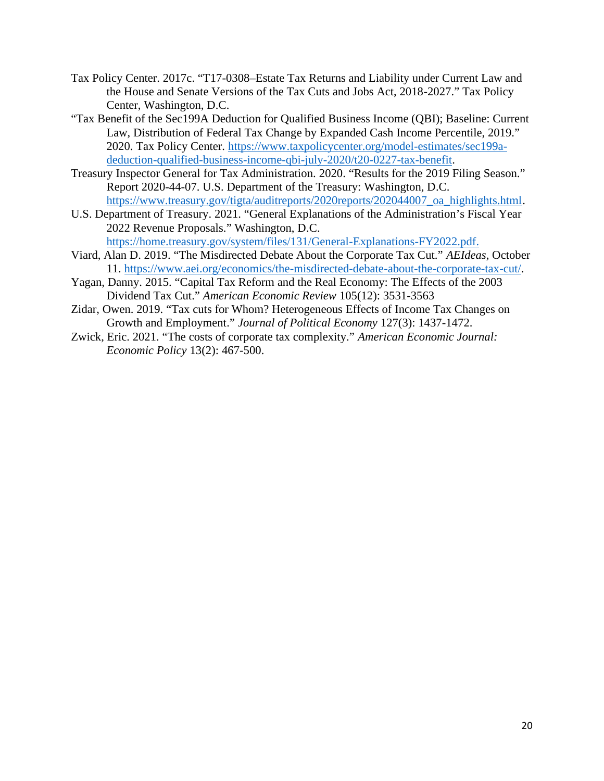- Tax Policy Center. 2017c. "T17-0308–Estate Tax Returns and Liability under Current Law and the House and Senate Versions of the Tax Cuts and Jobs Act, 2018-2027." Tax Policy Center, Washington, D.C.
- "Tax Benefit of the Sec199A Deduction for Qualified Business Income (QBI); Baseline: Current Law, Distribution of Federal Tax Change by Expanded Cash Income Percentile, 2019." 2020. Tax Policy Center. https://www.taxpolicycenter.org/model-estimates/sec199a deduction-qualified-business-income-qbi-july-2020/t20-0227-tax-benefit.
- Treasury Inspector General for Tax Administration. 2020. "Results for the 2019 Filing Season." Report 2020-44-07. U.S. Department of the Treasury: Washington, D.C. https://www.treasury.gov/tigta/auditreports/2020reports/202044007\_oa\_highlights.html.
- U.S. Department of Treasury. 2021. "General Explanations of the Administration's Fiscal Year 2022 Revenue Proposals." Washington, D.C.
- https://home.treasury.gov/system/files/131/General-Explanations-FY2022.pdf. Viard, Alan D. 2019. "The Misdirected Debate About the Corporate Tax Cut." *AEIdeas*, October 11. https://www.aei.org/economics/the-misdirected-debate-about-the-corporate-tax-cut/.
- Yagan, Danny. 2015. "Capital Tax Reform and the Real Economy: The Effects of the 2003 Dividend Tax Cut." *American Economic Review* 105(12): 3531-3563
- Zidar, Owen. 2019. "Tax cuts for Whom? Heterogeneous Effects of Income Tax Changes on Growth and Employment." *Journal of Political Economy* 127(3): 1437-1472.
- Zwick, Eric. 2021. "The costs of corporate tax complexity." *American Economic Journal: Economic Policy* 13(2): 467-500.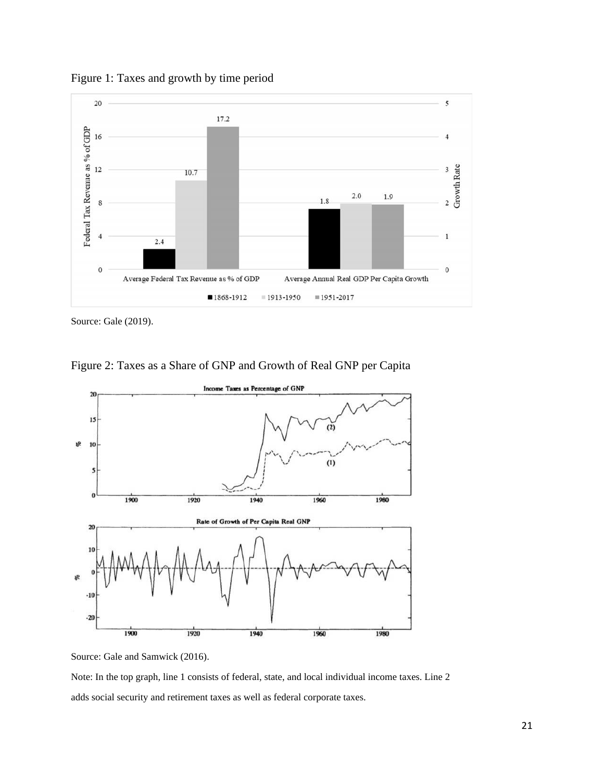Figure 1: Taxes and growth by time period



Source: Gale (2019).





Source: Gale and Samwick (2016).

Note: In the top graph, line 1 consists of federal, state, and local individual income taxes. Line 2 adds social security and retirement taxes as well as federal corporate taxes.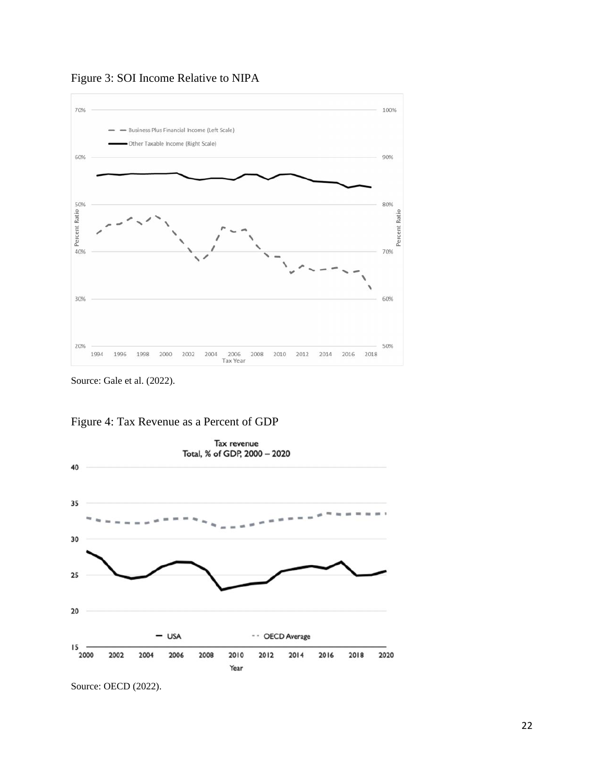

Figure 3: SOI Income Relative to NIPA

Figure 4: Tax Revenue as a Percent of GDP



Source: OECD (2022).

Source: Gale et al. (2022).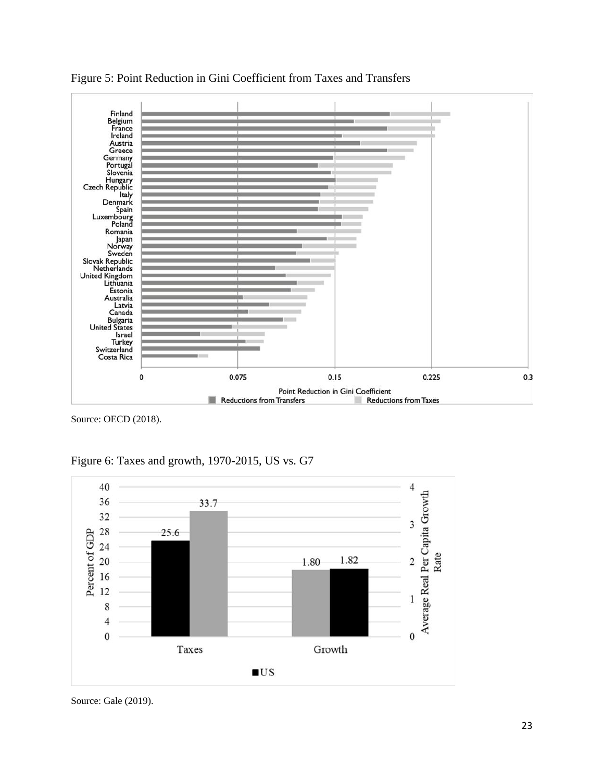

Figure 5: Point Reduction in Gini Coefficient from Taxes and Transfers

Figure 6: Taxes and growth, 1970-2015, US vs. G7



Source: Gale (2019).

Source: OECD (2018).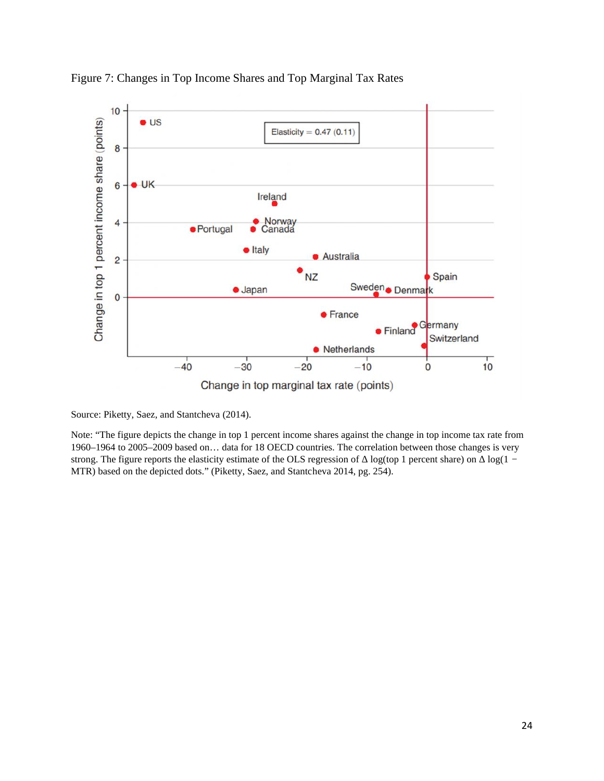

Figure 7: Changes in Top Income Shares and Top Marginal Tax Rates

Source: Piketty, Saez, and Stantcheva (2014).

Note: "The figure depicts the change in top 1 percent income shares against the change in top income tax rate from 1960–1964 to 2005–2009 based on… data for 18 OECD countries. The correlation between those changes is very strong. The figure reports the elasticity estimate of the OLS regression of log(top 1 percent share) on log(1 – MTR) based on the depicted dots." (Piketty, Saez, and Stantcheva 2014, pg. 254).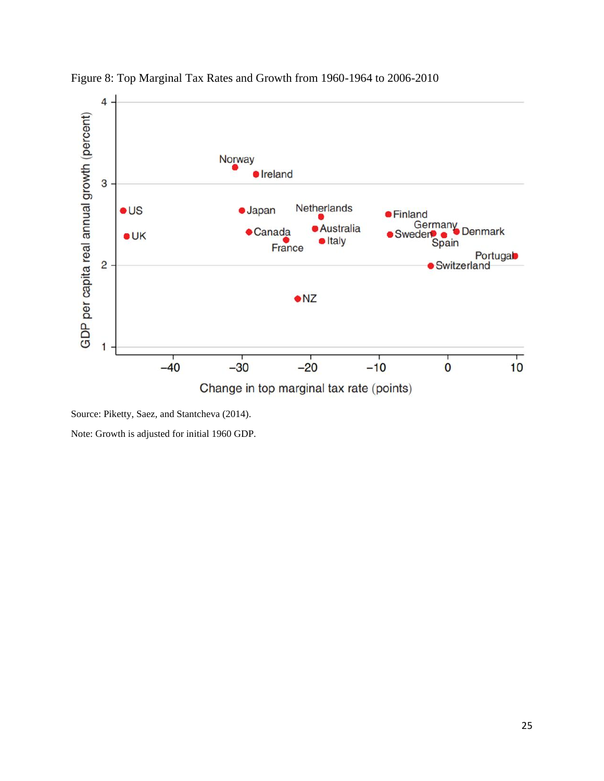

Figure 8: Top Marginal Tax Rates and Growth from 1960-1964 to 2006-2010

Source: Piketty, Saez, and Stantcheva (2014).

Note: Growth is adjusted for initial 1960 GDP.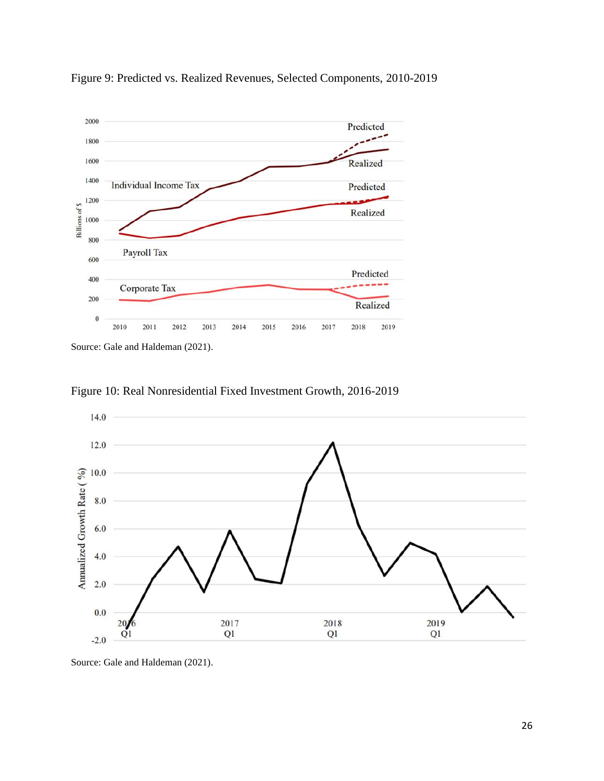

Figure 9: Predicted vs. Realized Revenues, Selected Components, 2010-2019



Figure 10: Real Nonresidential Fixed Investment Growth, 2016-2019

Source: Gale and Haldeman (2021).

Source: Gale and Haldeman (2021).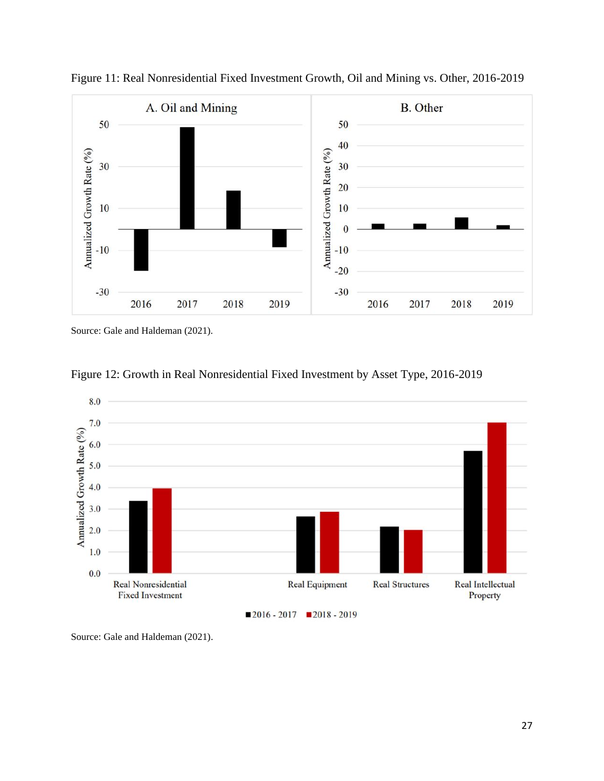

Figure 11: Real Nonresidential Fixed Investment Growth, Oil and Mining vs. Other, 2016-2019

Source: Gale and Haldeman (2021).





Source: Gale and Haldeman (2021).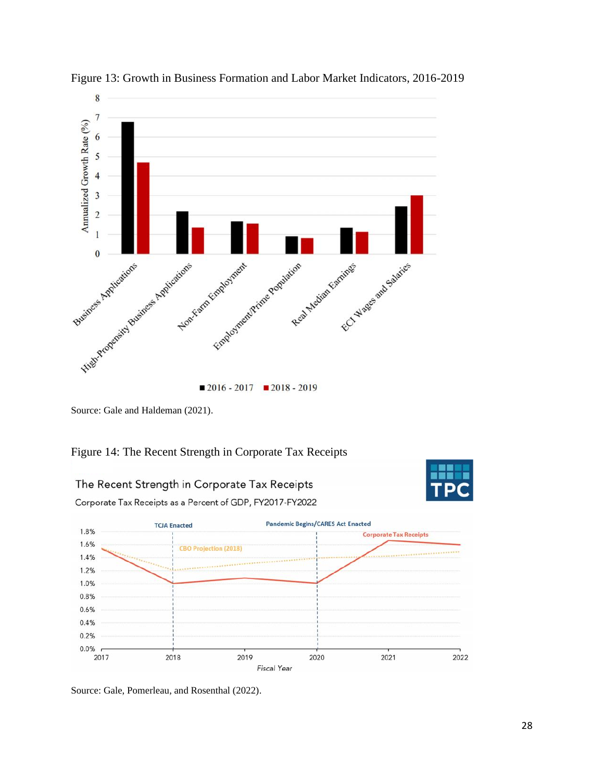

Figure 13: Growth in Business Formation and Labor Market Indicators, 2016-2019

Source: Gale and Haldeman (2021).









Source: Gale, Pomerleau, and Rosenthal (2022).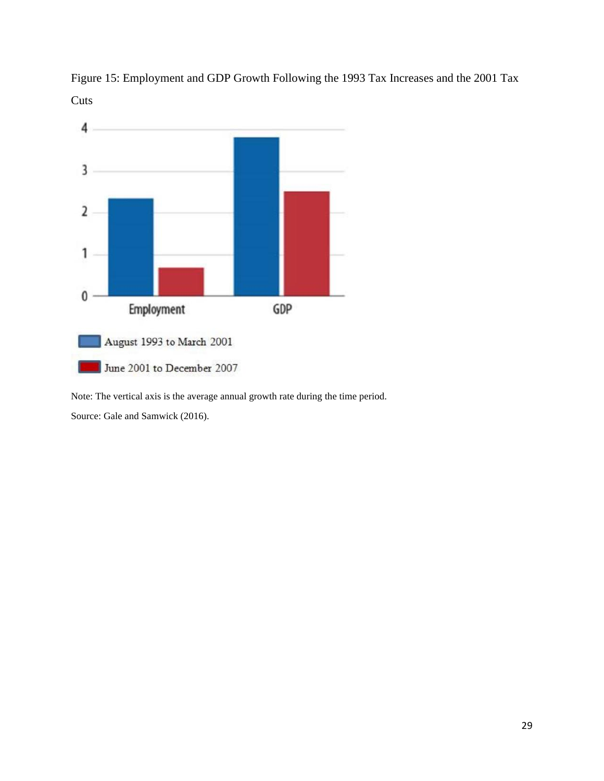

Figure 15: Employment and GDP Growth Following the 1993 Tax Increases and the 2001 Tax **Cuts** 

Note: The vertical axis is the average annual growth rate during the time period. Source: Gale and Samwick (2016).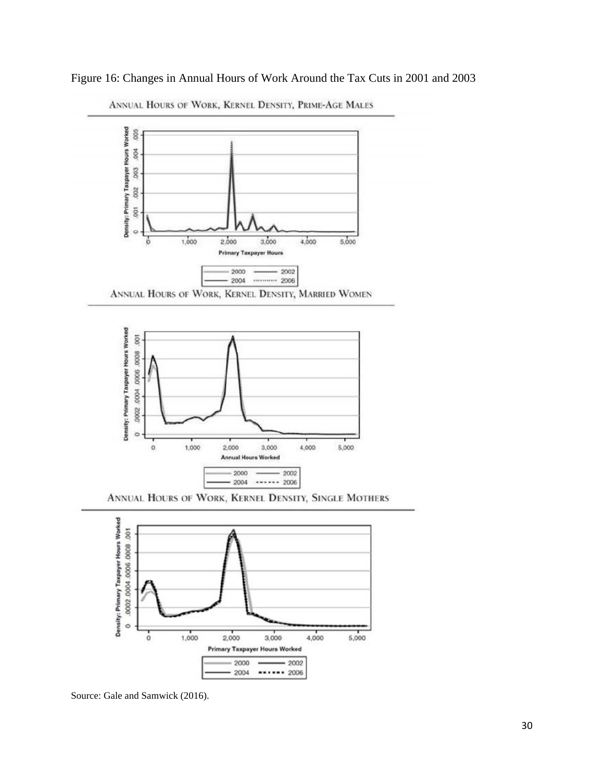



ANNUAL HOURS OF WORK, KERNEL DENSITY, PRIME-AGE MALES



ANNUAL HOURS OF WORK, KERNEL DENSITY, SINGLE MOTHERS



Source: Gale and Samwick (2016).